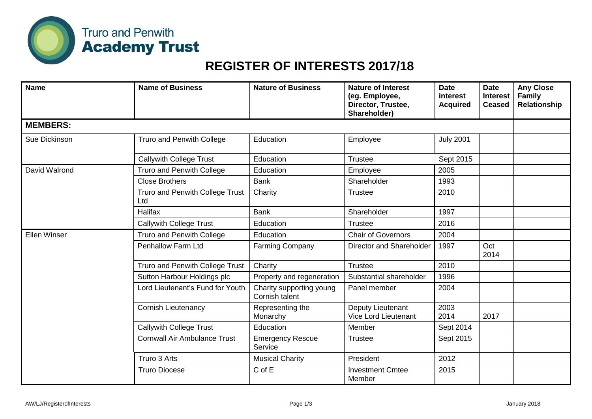

## **REGISTER OF INTERESTS 2017/18**

| <b>Name</b>         | <b>Name of Business</b>                | <b>Nature of Business</b>                  | <b>Nature of Interest</b><br>(eg. Employee,<br>Director, Trustee,<br>Shareholder) | <b>Date</b><br>interest<br><b>Acquired</b> | <b>Date</b><br><b>Interest</b><br><b>Ceased</b> | <b>Any Close</b><br><b>Family</b><br>Relationship |
|---------------------|----------------------------------------|--------------------------------------------|-----------------------------------------------------------------------------------|--------------------------------------------|-------------------------------------------------|---------------------------------------------------|
| <b>MEMBERS:</b>     |                                        |                                            |                                                                                   |                                            |                                                 |                                                   |
| Sue Dickinson       | Truro and Penwith College              | Education                                  | Employee                                                                          | <b>July 2001</b>                           |                                                 |                                                   |
|                     | <b>Callywith College Trust</b>         | Education                                  | <b>Trustee</b>                                                                    | Sept 2015                                  |                                                 |                                                   |
| David Walrond       | <b>Truro and Penwith College</b>       | Education                                  | Employee                                                                          | 2005                                       |                                                 |                                                   |
|                     | <b>Close Brothers</b>                  | <b>Bank</b>                                | Shareholder                                                                       | 1993                                       |                                                 |                                                   |
|                     | Truro and Penwith College Trust<br>Ltd | Charity                                    | <b>Trustee</b>                                                                    | 2010                                       |                                                 |                                                   |
|                     | Halifax                                | <b>Bank</b>                                | Shareholder                                                                       | 1997                                       |                                                 |                                                   |
|                     | <b>Callywith College Trust</b>         | Education                                  | Trustee                                                                           | 2016                                       |                                                 |                                                   |
| <b>Ellen Winser</b> | Truro and Penwith College              | Education                                  | <b>Chair of Governors</b>                                                         | 2004                                       |                                                 |                                                   |
|                     | <b>Penhallow Farm Ltd</b>              | <b>Farming Company</b>                     | Director and Shareholder                                                          | 1997                                       | Oct<br>2014                                     |                                                   |
|                     | Truro and Penwith College Trust        | Charity                                    | Trustee                                                                           | 2010                                       |                                                 |                                                   |
|                     | Sutton Harbour Holdings plc            | Property and regeneration                  | Substantial shareholder                                                           | 1996                                       |                                                 |                                                   |
|                     | Lord Lieutenant's Fund for Youth       | Charity supporting young<br>Cornish talent | Panel member                                                                      | 2004                                       |                                                 |                                                   |
|                     | <b>Cornish Lieutenancy</b>             | Representing the<br>Monarchy               | Deputy Lieutenant<br>Vice Lord Lieutenant                                         | 2003<br>2014                               | 2017                                            |                                                   |
|                     | <b>Callywith College Trust</b>         | Education                                  | Member                                                                            | Sept 2014                                  |                                                 |                                                   |
|                     | <b>Cornwall Air Ambulance Trust</b>    | <b>Emergency Rescue</b><br>Service         | <b>Trustee</b>                                                                    | Sept 2015                                  |                                                 |                                                   |
|                     | Truro 3 Arts                           | <b>Musical Charity</b>                     | President                                                                         | 2012                                       |                                                 |                                                   |
|                     | <b>Truro Diocese</b>                   | C of E                                     | <b>Investment Cmtee</b><br>Member                                                 | 2015                                       |                                                 |                                                   |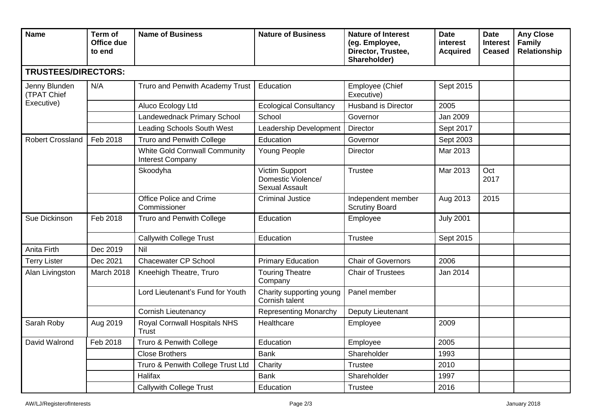| <b>Name</b>                                       | Term of<br>Office due<br>to end | <b>Name of Business</b>                                         | <b>Nature of Business</b>                                     | <b>Nature of Interest</b><br>(eg. Employee,<br>Director, Trustee,<br>Shareholder) | <b>Date</b><br><b>interest</b><br><b>Acquired</b> | <b>Date</b><br><b>Interest</b><br><b>Ceased</b> | <b>Any Close</b><br><b>Family</b><br>Relationship |
|---------------------------------------------------|---------------------------------|-----------------------------------------------------------------|---------------------------------------------------------------|-----------------------------------------------------------------------------------|---------------------------------------------------|-------------------------------------------------|---------------------------------------------------|
| <b>TRUSTEES/DIRECTORS:</b>                        |                                 |                                                                 |                                                               |                                                                                   |                                                   |                                                 |                                                   |
| Jenny Blunden<br><b>(TPAT Chief</b><br>Executive) | N/A                             | Truro and Penwith Academy Trust                                 | Education                                                     | Employee (Chief<br>Executive)                                                     | Sept 2015                                         |                                                 |                                                   |
|                                                   |                                 | Aluco Ecology Ltd                                               | <b>Ecological Consultancy</b>                                 | <b>Husband is Director</b>                                                        | 2005                                              |                                                 |                                                   |
|                                                   |                                 | Landewednack Primary School                                     | School                                                        | Governor                                                                          | Jan 2009                                          |                                                 |                                                   |
|                                                   |                                 | <b>Leading Schools South West</b>                               | Leadership Development                                        | Director                                                                          | Sept 2017                                         |                                                 |                                                   |
| <b>Robert Crossland</b>                           | Feb 2018                        | Truro and Penwith College                                       | Education                                                     | Governor                                                                          | Sept 2003                                         |                                                 |                                                   |
|                                                   |                                 | <b>White Gold Cornwall Community</b><br><b>Interest Company</b> | Young People                                                  | Director                                                                          | Mar 2013                                          |                                                 |                                                   |
|                                                   |                                 | Skoodyha                                                        | Victim Support<br>Domestic Violence/<br><b>Sexual Assault</b> | <b>Trustee</b>                                                                    | Mar 2013                                          | Oct<br>2017                                     |                                                   |
|                                                   |                                 | Office Police and Crime<br>Commissioner                         | <b>Criminal Justice</b>                                       | Independent member<br><b>Scrutiny Board</b>                                       | Aug 2013                                          | 2015                                            |                                                   |
| Sue Dickinson                                     | Feb 2018                        | Truro and Penwith College                                       | Education                                                     | Employee                                                                          | <b>July 2001</b>                                  |                                                 |                                                   |
|                                                   |                                 | <b>Callywith College Trust</b>                                  | Education                                                     | <b>Trustee</b>                                                                    | Sept 2015                                         |                                                 |                                                   |
| Anita Firth                                       | Dec 2019                        | Nil                                                             |                                                               |                                                                                   |                                                   |                                                 |                                                   |
| <b>Terry Lister</b>                               | Dec 2021                        | <b>Chacewater CP School</b>                                     | <b>Primary Education</b>                                      | <b>Chair of Governors</b>                                                         | 2006                                              |                                                 |                                                   |
| Alan Livingston                                   | March 2018                      | Kneehigh Theatre, Truro                                         | <b>Touring Theatre</b><br>Company                             | <b>Chair of Trustees</b>                                                          | Jan 2014                                          |                                                 |                                                   |
|                                                   |                                 | Lord Lieutenant's Fund for Youth                                | Charity supporting young<br>Cornish talent                    | Panel member                                                                      |                                                   |                                                 |                                                   |
|                                                   |                                 | <b>Cornish Lieutenancy</b>                                      | <b>Representing Monarchy</b>                                  | Deputy Lieutenant                                                                 |                                                   |                                                 |                                                   |
| Sarah Roby                                        | Aug 2019                        | Royal Cornwall Hospitals NHS<br><b>Trust</b>                    | Healthcare                                                    | Employee                                                                          | 2009                                              |                                                 |                                                   |
| David Walrond                                     | Feb 2018                        | Truro & Penwith College                                         | Education                                                     | Employee                                                                          | 2005                                              |                                                 |                                                   |
|                                                   |                                 | <b>Close Brothers</b>                                           | <b>Bank</b>                                                   | Shareholder                                                                       | 1993                                              |                                                 |                                                   |
|                                                   |                                 | Truro & Penwith College Trust Ltd                               | Charity                                                       | <b>Trustee</b>                                                                    | 2010                                              |                                                 |                                                   |
|                                                   |                                 | Halifax                                                         | <b>Bank</b>                                                   | Shareholder                                                                       | 1997                                              |                                                 |                                                   |
|                                                   |                                 | <b>Callywith College Trust</b>                                  | Education                                                     | <b>Trustee</b>                                                                    | 2016                                              |                                                 |                                                   |